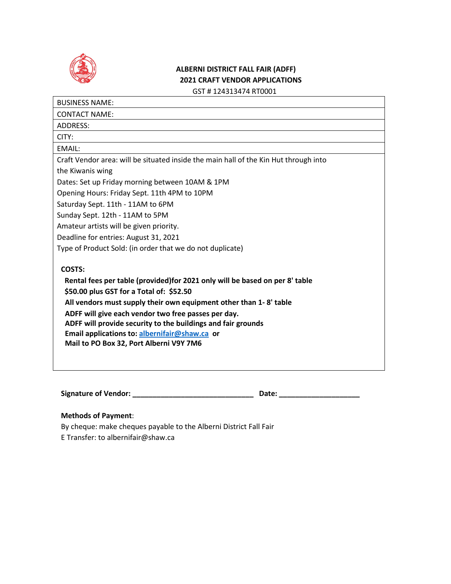

## **ALBERNI DISTRICT FALL FAIR (ADFF) 2021 CRAFT VENDOR APPLICATIONS** GST # 124313474 RT0001

BUSINESS NAME: CONTACT NAME: ADDRESS: CITY: EMAIL: Craft Vendor area: will be situated inside the main hall of the Kin Hut through into the Kiwanis wing Dates: Set up Friday morning between 10AM & 1PM Opening Hours: Friday Sept. 11th 4PM to 10PM Saturday Sept. 11th - 11AM to 6PM Sunday Sept. 12th - 11AM to 5PM Amateur artists will be given priority. Deadline for entries: August 31, 2021 Type of Product Sold: (in order that we do not duplicate) **COSTS: Rental fees per table (provided)for 2021 only will be based on per 8' table \$50.00 plus GST for a Total of: \$52.50 All vendors must supply their own equipment other than 1- 8' table ADFF will give each vendor two free passes per day. ADFF will provide security to the buildings and fair grounds Email applications to: [albernifair@shaw.ca](mailto:albernifair@shaw.ca) or Mail to PO Box 32, Port Alberni V9Y 7M6**

**Signature of Vendor: \_\_\_\_\_\_\_\_\_\_\_\_\_\_\_\_\_\_\_\_\_\_\_\_\_\_\_\_\_\_ Date: \_\_\_\_\_\_\_\_\_\_\_\_\_\_\_\_\_\_\_\_** 

## **Methods of Payment**:

By cheque: make cheques payable to the Alberni District Fall Fair E Transfer: to albernifair@shaw.ca